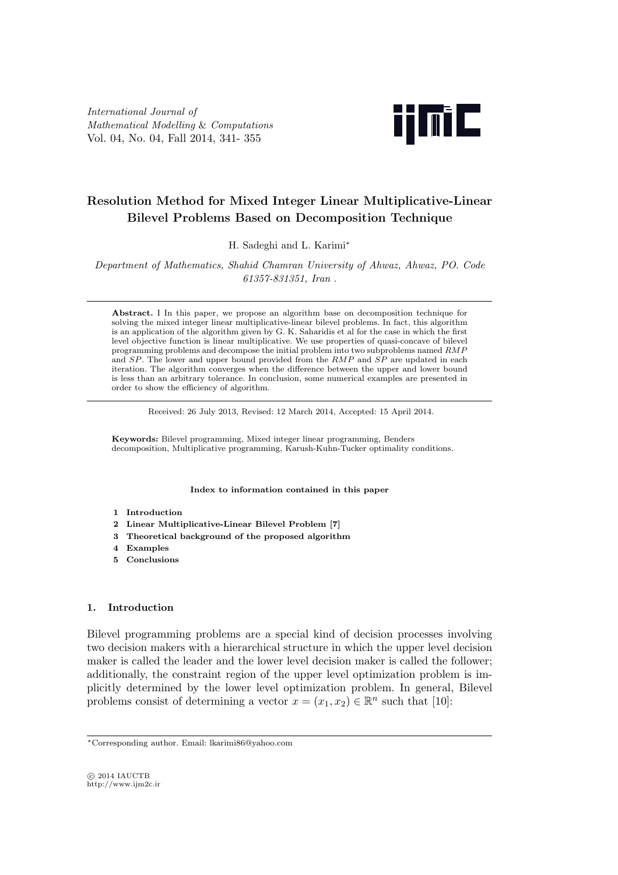*International Journal of Mathematical Modelling* & *Computations* Vol. 04, No. 04, Fall 2014, 341- 355



## **Resolution Method for Mixed Integer Linear Multiplicative-Linear Bilevel Problems Based on Decomposition Technique**

H. Sadeghi and L. Karimi*<sup>∗</sup>*

*Department of Mathematics, Shahid Chamran University of Ahwaz, Ahwaz, PO. Code 61357-831351, Iran* .

**Abstract.** I In this paper, we propose an algorithm base on decomposition technique for solving the mixed integer linear multiplicative-linear bilevel problems. In fact, this algorithm is an application of the algorithm given by G. K. Saharidis et al for the case in which the first level objective function is linear multiplicative. We use properties of quasi-concave of bilevel programming problems and decompose the initial problem into two subproblems named *RMP* and *SP*. The lower and upper bound provided from the *RMP* and *SP* are updated in each iteration. The algorithm converges when the difference between the upper and lower bound is less than an arbitrary tolerance. In conclusion, some numerical examples are presented in order to show the efficiency of algorithm.

Received: 26 July 2013, Revised: 12 March 2014, Accepted: 15 April 2014.

**Keywords:** Bilevel programming, Mixed integer linear programming, Benders decomposition, Multiplicative programming, Karush-Kuhn-Tucker optimality conditions.

**Index to information contained in this paper**

- **1 Introduction**
- **2 Linear Multiplicative-Linear Bilevel Problem [7]**
- **3 Theoretical background of the proposed algorithm**
- **4 Examples**
- **5 Conclusions**

### **1. Introduction**

Bilevel programming problems are a special kind of decision processes involving two decision makers with a hierarchical structure in which the upper level decision maker is called the leader and the lower level decision maker is called the follower; additionally, the constraint region of the upper level optimization problem is implicitly determined by the lower level optimization problem. In general, Bilevel problems consist of determining a vector  $x = (x_1, x_2) \in \mathbb{R}^n$  such that [10]:

*⃝*c 2014 IAUCTB http://www.ijm2c.ir

*<sup>∗</sup>*Corresponding author. Email: lkarimi86@yahoo.com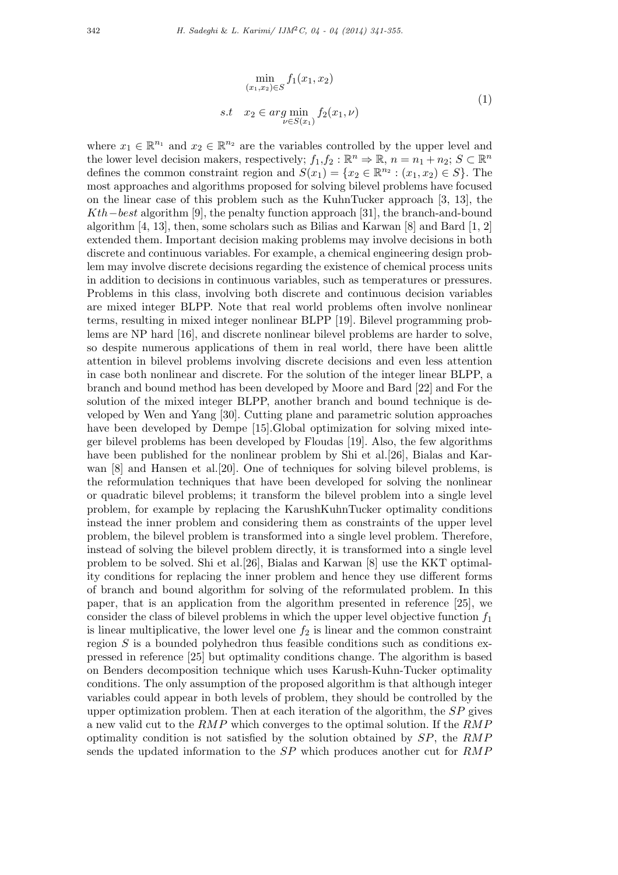$$
\min_{(x_1, x_2) \in S} f_1(x_1, x_2)
$$
  
s.t  $x_2 \in arg \min_{\nu \in S(x_1)} f_2(x_1, \nu)$  (1)

where  $x_1 \in \mathbb{R}^{n_1}$  and  $x_2 \in \mathbb{R}^{n_2}$  are the variables controlled by the upper level and the lower level decision makers, respectively;  $f_1, f_2 : \mathbb{R}^n \Rightarrow \mathbb{R}, n = n_1 + n_2$ ;  $S \subset \mathbb{R}^n$ defines the common constraint region and  $S(x_1) = \{x_2 \in \mathbb{R}^{n_2} : (x_1, x_2) \in S\}$ . The most approaches and algorithms proposed for solving bilevel problems have focused on the linear case of this problem such as the KuhnTucker approach [3, 13], the *Kth−best* algorithm [9], the penalty function approach [31], the branch-and-bound algorithm [4, 13], then, some scholars such as Bilias and Karwan [8] and Bard [1, 2] extended them. Important decision making problems may involve decisions in both discrete and continuous variables. For example, a chemical engineering design problem may involve discrete decisions regarding the existence of chemical process units in addition to decisions in continuous variables, such as temperatures or pressures. Problems in this class, involving both discrete and continuous decision variables are mixed integer BLPP. Note that real world problems often involve nonlinear terms, resulting in mixed integer nonlinear BLPP [19]. Bilevel programming problems are NP hard [16], and discrete nonlinear bilevel problems are harder to solve, so despite numerous applications of them in real world, there have been alittle attention in bilevel problems involving discrete decisions and even less attention in case both nonlinear and discrete. For the solution of the integer linear BLPP, a branch and bound method has been developed by Moore and Bard [22] and For the solution of the mixed integer BLPP, another branch and bound technique is developed by Wen and Yang [30]. Cutting plane and parametric solution approaches have been developed by Dempe [15].Global optimization for solving mixed integer bilevel problems has been developed by Floudas [19]. Also, the few algorithms have been published for the nonlinear problem by Shi et al.[26], Bialas and Karwan [8] and Hansen et al.[20]. One of techniques for solving bilevel problems, is the reformulation techniques that have been developed for solving the nonlinear or quadratic bilevel problems; it transform the bilevel problem into a single level problem, for example by replacing the KarushKuhnTucker optimality conditions instead the inner problem and considering them as constraints of the upper level problem, the bilevel problem is transformed into a single level problem. Therefore, instead of solving the bilevel problem directly, it is transformed into a single level problem to be solved. Shi et al.[26], Bialas and Karwan [8] use the KKT optimality conditions for replacing the inner problem and hence they use different forms of branch and bound algorithm for solving of the reformulated problem. In this paper, that is an application from the algorithm presented in reference [25], we consider the class of bilevel problems in which the upper level objective function *f*<sup>1</sup> is linear multiplicative, the lower level one  $f_2$  is linear and the common constraint region *S* is a bounded polyhedron thus feasible conditions such as conditions expressed in reference [25] but optimality conditions change. The algorithm is based on Benders decomposition technique which uses Karush-Kuhn-Tucker optimality conditions. The only assumption of the proposed algorithm is that although integer variables could appear in both levels of problem, they should be controlled by the upper optimization problem. Then at each iteration of the algorithm, the *SP* gives a new valid cut to the *RMP* which converges to the optimal solution. If the *RMP* optimality condition is not satisfied by the solution obtained by *SP*, the *RMP* sends the updated information to the *SP* which produces another cut for *RMP*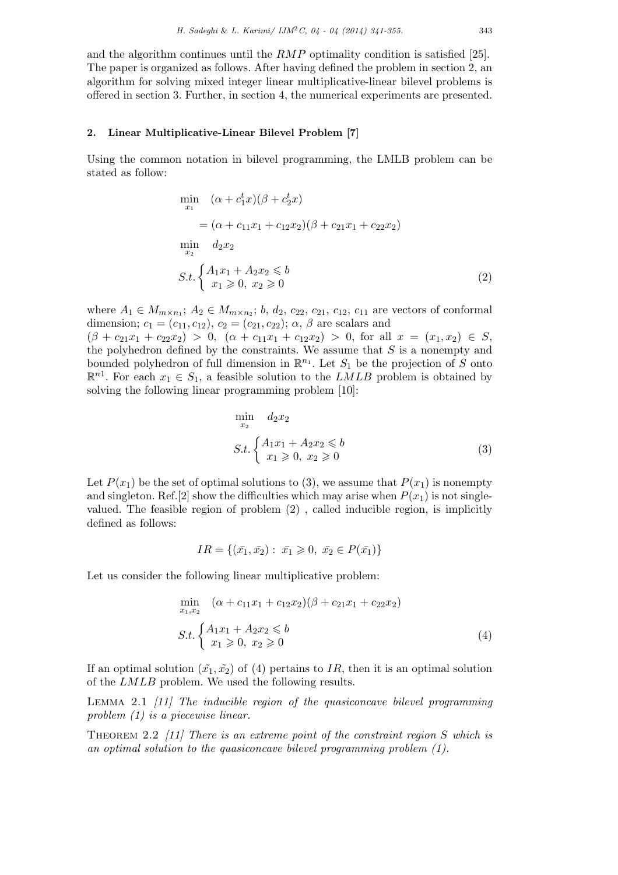and the algorithm continues until the *RMP* optimality condition is satisfied [25]. The paper is organized as follows. After having defined the problem in section 2, an algorithm for solving mixed integer linear multiplicative-linear bilevel problems is offered in section 3. Further, in section 4, the numerical experiments are presented.

### **2. Linear Multiplicative-Linear Bilevel Problem [7]**

Using the common notation in bilevel programming, the LMLB problem can be stated as follow:

$$
\min_{x_1} \quad (\alpha + c_1^t x)(\beta + c_2^t x) \n= (\alpha + c_{11}x_1 + c_{12}x_2)(\beta + c_{21}x_1 + c_{22}x_2) \n\min_{x_2} \quad d_2x_2 \nS.t. \begin{cases} A_1x_1 + A_2x_2 \le b \\ x_1 \ge 0, \ x_2 \ge 0 \end{cases} (2)
$$

where  $A_1 \in M_{m \times n_1}$ ;  $A_2 \in M_{m \times n_2}$ ; *b*, *d*<sub>2</sub>, *c*<sub>22</sub>, *c*<sub>21</sub>, *c*<sub>12</sub>, *c*<sub>11</sub> are vectors of conformal dimension;  $c_1 = (c_{11}, c_{12}), c_2 = (c_{21}, c_{22}); \alpha, \beta$  are scalars and

 $(\beta + c_{21}x_1 + c_{22}x_2) > 0$ ,  $(\alpha + c_{11}x_1 + c_{12}x_2) > 0$ , for all  $x = (x_1, x_2) \in S$ , the polyhedron defined by the constraints. We assume that *S* is a nonempty and bounded polyhedron of full dimension in  $\mathbb{R}^{n_1}$ . Let  $S_1$  be the projection of *S* onto  $\mathbb{R}^{n}$ . For each  $x_1 \in S_1$ , a feasible solution to the *LMLB* problem is obtained by solving the following linear programming problem [10]:

$$
\min_{x_2} d_2 x_2
$$
\n
$$
S.t. \begin{cases} A_1 x_1 + A_2 x_2 \leq b \\ x_1 \geq 0, \ x_2 \geq 0 \end{cases} \tag{3}
$$

Let  $P(x_1)$  be the set of optimal solutions to (3), we assume that  $P(x_1)$  is nonempty and singleton. Ref.<sup>[2]</sup> show the difficulties which may arise when  $P(x_1)$  is not singlevalued. The feasible region of problem (2) , called inducible region, is implicitly defined as follows:

$$
IR = \{(\bar{x_1}, \bar{x_2}) : \ \bar{x_1} \geqslant 0, \ \bar{x_2} \in P(\bar{x_1})\}
$$

Let us consider the following linear multiplicative problem:

$$
\min_{x_1, x_2} \quad (\alpha + c_{11}x_1 + c_{12}x_2)(\beta + c_{21}x_1 + c_{22}x_2)
$$
\n
$$
S.t. \begin{cases} A_1x_1 + A_2x_2 \le b \\ x_1 \ge 0, \ x_2 \ge 0 \end{cases} \tag{4}
$$

If an optimal solution  $(\tilde{x_1}, \tilde{x_2})$  of (4) pertains to *IR*, then it is an optimal solution of the *LMLB* problem. We used the following results.

Lemma 2.1 *[11] The inducible region of the quasiconcave bilevel programming problem (1) is a piecewise linear.*

Theorem 2.2 *[11] There is an extreme point of the constraint region S which is an optimal solution to the quasiconcave bilevel programming problem (1).*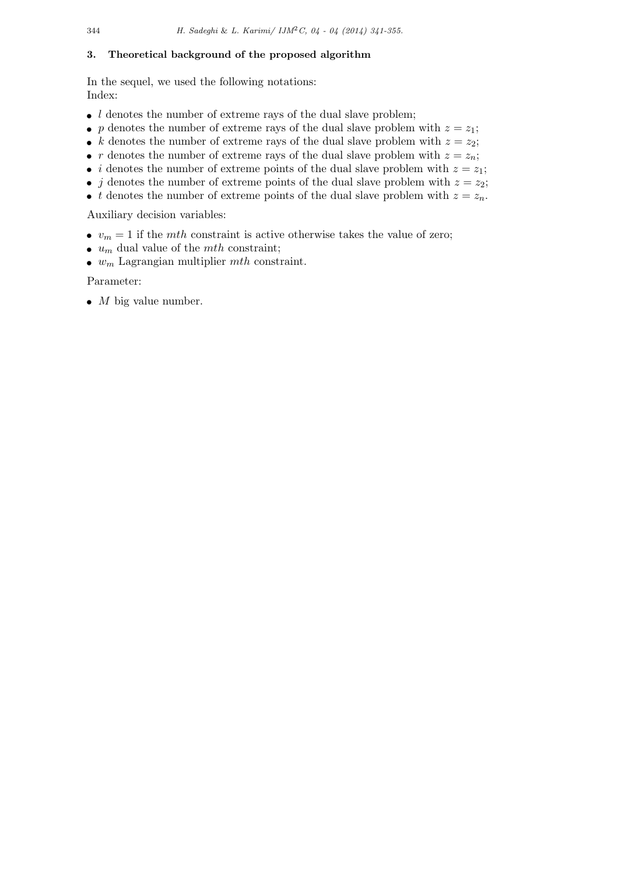## **3. Theoretical background of the proposed algorithm**

In the sequel, we used the following notations: Index:

- *l* denotes the number of extreme rays of the dual slave problem;
- *p* denotes the number of extreme rays of the dual slave problem with  $z = z_1$ ;
- *k* denotes the number of extreme rays of the dual slave problem with  $z = z_2$ ;
- *r* denotes the number of extreme rays of the dual slave problem with  $z = z_n$ ;
- *i* denotes the number of extreme points of the dual slave problem with  $z = z_1$ ;
- *j* denotes the number of extreme points of the dual slave problem with  $z = z_2$ ;
- *t* denotes the number of extreme points of the dual slave problem with  $z = z_n$ .

Auxiliary decision variables:

- $v_m = 1$  if the *mth* constraint is active otherwise takes the value of zero;
- *• u<sup>m</sup>* dual value of the *mth* constraint;
- *• w<sup>m</sup>* Lagrangian multiplier *mth* constraint.

Parameter:

• *M* big value number.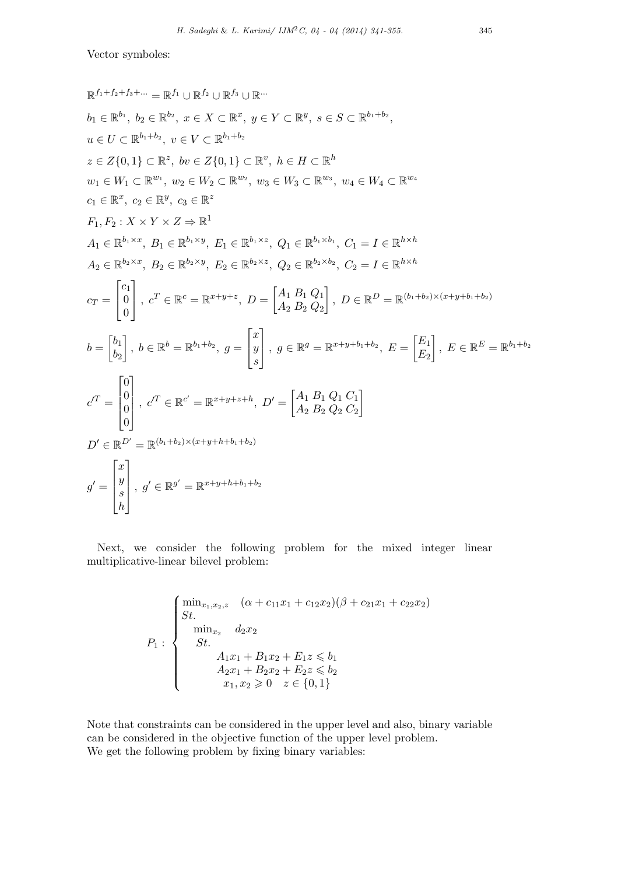Vector symboles:

$$
\mathbb{R}^{f_1+f_2+f_3+\ldots} = \mathbb{R}^{f_1} \cup \mathbb{R}^{f_2} \cup \mathbb{R}^{f_3} \cup \mathbb{R}^{\ldots}
$$
\n
$$
b_1 \in \mathbb{R}^{b_1}, \ b_2 \in \mathbb{R}^{b_2}, \ x \in X \subset \mathbb{R}^x, \ y \in Y \subset \mathbb{R}^y, \ s \in S \subset \mathbb{R}^{b_1+b_2},
$$
\n
$$
u \in U \subset \mathbb{R}^{b_1+b_2}, \ v \in V \subset \mathbb{R}^{b_1+b_2}
$$
\n
$$
z \in Z\{0,1\} \subset \mathbb{R}^z, \ bv \in Z\{0,1\} \subset \mathbb{R}^v, \ h \in H \subset \mathbb{R}^h
$$
\n
$$
w_1 \in W_1 \subset \mathbb{R}^{w_1}, \ w_2 \in W_2 \subset \mathbb{R}^{w_2}, \ w_3 \in W_3 \subset \mathbb{R}^{w_3}, \ w_4 \in W_4 \subset \mathbb{R}^{w_4}
$$
\n
$$
c_1 \in \mathbb{R}^x, \ c_2 \in \mathbb{R}^y, \ c_3 \in \mathbb{R}^z
$$
\n
$$
F_1, F_2: X \times Y \times Z \Rightarrow \mathbb{R}^1
$$
\n
$$
A_1 \in \mathbb{R}^{b_1 \times x}, \ B_1 \in \mathbb{R}^{b_1 \times y}, \ E_1 \in \mathbb{R}^{b_1 \times z}, \ Q_1 \in \mathbb{R}^{b_1 \times b_1}, \ C_1 = I \in \mathbb{R}^{h \times h}
$$
\n
$$
A_2 \in \mathbb{R}^{b_2 \times x}, \ B_2 \in \mathbb{R}^{b_2 \times y}, \ E_2 \in \mathbb{R}^{b_2 \times z}, \ Q_2 \in \mathbb{R}^{b_2 \times b_2}, \ C_2 = I \in \mathbb{R}^{h \times h}
$$
\n
$$
c_T = \begin{bmatrix} c_1 \\ 0 \\ 0 \end{bmatrix}, \ c^T \in \mathbb{R}^c = \mathbb{R}^{x+y+z}, \ D = \begin{bmatrix} A
$$

Next, we consider the following problem for the mixed integer linear multiplicative-linear bilevel problem:

$$
P_1: \begin{cases} \min_{x_1, x_2, z} & (\alpha + c_{11}x_1 + c_{12}x_2)(\beta + c_{21}x_1 + c_{22}x_2) \\ \text{St.} \\ & St. \\ & A_1x_1 + B_1x_2 + E_1z \leq b_1 \\ & A_2x_1 + B_2x_2 + E_2z \leq b_2 \\ & x_1, x_2 \geq 0 \quad z \in \{0, 1\} \end{cases}
$$

Note that constraints can be considered in the upper level and also, binary variable can be considered in the objective function of the upper level problem. We get the following problem by fixing binary variables: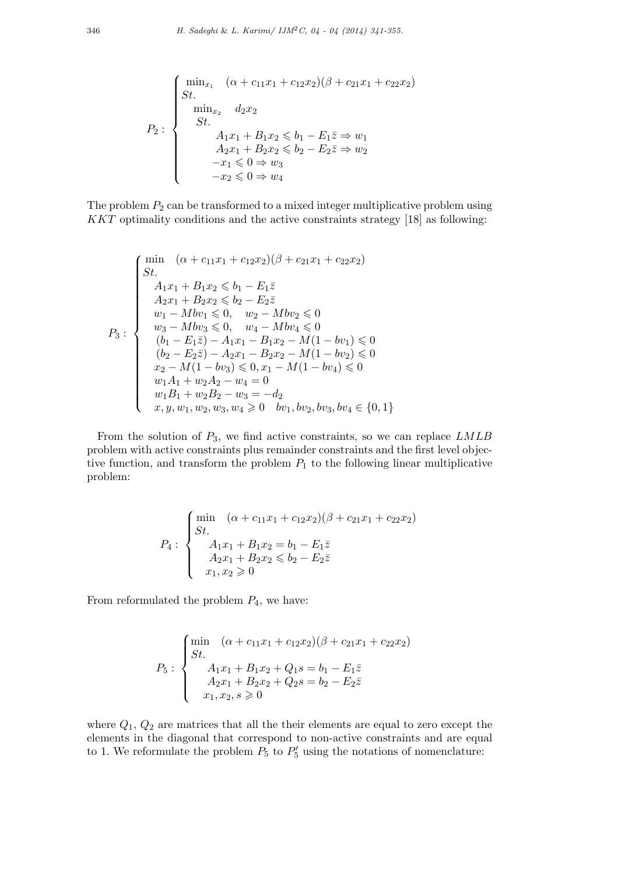$$
P_2: \begin{cases} \min_{x_1} & (\alpha + c_{11}x_1 + c_{12}x_2)(\beta + c_{21}x_1 + c_{22}x_2) \\ \text{st.} \\ \min_{x_2} & d_2x_2 \\ & \text{st.} \\ & A_1x_1 + B_1x_2 \leq b_1 - E_1\bar{z} \Rightarrow w_1 \\ & A_2x_1 + B_2x_2 \leq b_2 - E_2\bar{z} \Rightarrow w_2 \\ & -x_1 \leq 0 \Rightarrow w_3 \\ & -x_2 \leq 0 \Rightarrow w_4 \end{cases}
$$

The problem  $P_2$  can be transformed to a mixed integer multiplicative problem using *KKT* optimality conditions and the active constraints strategy [18] as following:

$$
P_3: \begin{cases} \min \quad (\alpha + c_{11}x_1 + c_{12}x_2)(\beta + c_{21}x_1 + c_{22}x_2) \\ St. \\ A_1x_1 + B_1x_2 \leq b_1 - E_1\bar{z} \\ A_2x_1 + B_2x_2 \leq b_2 - E_2\bar{z} \\ w_1 - Mbv_1 \leq 0, \quad w_2 - Mbv_2 \leq 0 \\ w_3 - Mbv_3 \leq 0, \quad w_4 - Mbv_4 \leq 0 \\ (b_1 - E_1\bar{z}) - A_1x_1 - B_1x_2 - M(1 - bv_1) \leq 0 \\ (b_2 - E_2\bar{z}) - A_2x_1 - B_2x_2 - M(1 - bv_2) \leq 0 \\ x_2 - M(1 - bv_3) \leq 0, x_1 - M(1 - bv_4) \leq 0 \\ w_1A_1 + w_2A_2 - w_4 = 0 \\ w_1B_1 + w_2B_2 - w_3 = -d_2 \\ x, y, w_1, w_2, w_3, w_4 \geq 0 \quad bv_1, bv_2, bv_3, bv_4 \in \{0, 1\} \end{cases}
$$

From the solution of *P*3, we find active constraints, so we can replace *LMLB* problem with active constraints plus remainder constraints and the first level objective function, and transform the problem *P*<sup>1</sup> to the following linear multiplicative problem:

$$
P_4: \begin{cases} \min \quad (\alpha + c_{11}x_1 + c_{12}x_2)(\beta + c_{21}x_1 + c_{22}x_2) \\ St. \\ A_1x_1 + B_1x_2 = b_1 - E_1\overline{z} \\ A_2x_1 + B_2x_2 \leqslant b_2 - E_2\overline{z} \\ x_1, x_2 \geqslant 0 \end{cases}
$$

From reformulated the problem *P*4, we have:

$$
P_5: \begin{cases} \min \quad (\alpha + c_{11}x_1 + c_{12}x_2)(\beta + c_{21}x_1 + c_{22}x_2) \\ St. \\ A_1x_1 + B_1x_2 + Q_1s = b_1 - E_1\overline{z} \\ A_2x_1 + B_2x_2 + Q_2s = b_2 - E_2\overline{z} \\ x_1, x_2, s \ge 0 \end{cases}
$$

where  $Q_1, Q_2$  are matrices that all the their elements are equal to zero except the elements in the diagonal that correspond to non-active constraints and are equal to 1. We reformulate the problem  $P_5$  to  $P'_5$  using the notations of nomenclature: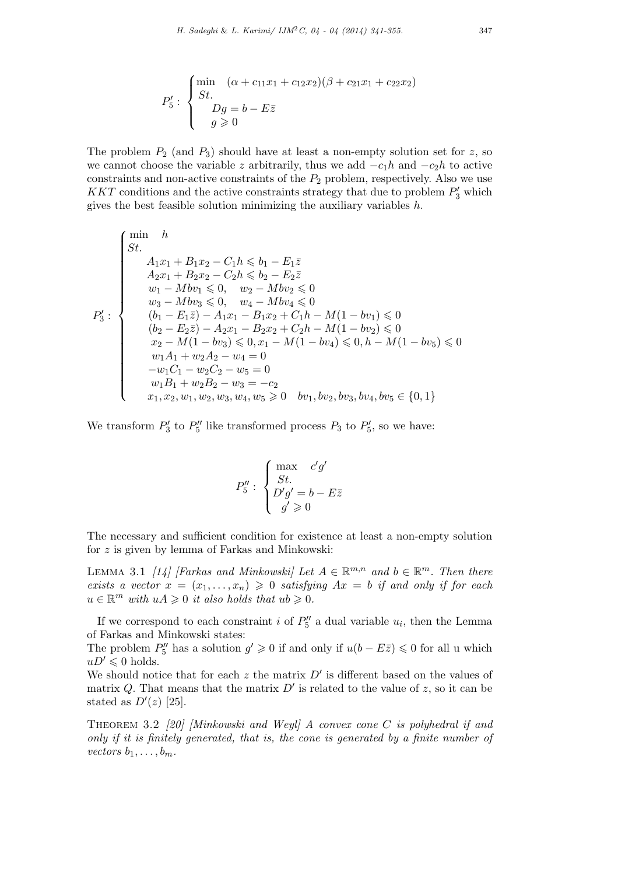$$
P'_5: \begin{cases} \min \ ( \alpha + c_{11}x_1 + c_{12}x_2)(\beta + c_{21}x_1 + c_{22}x_2) \\ St. \\ Dg = b - E\overline{z} \\ g \geqslant 0 \end{cases}
$$

The problem  $P_2$  (and  $P_3$ ) should have at least a non-empty solution set for  $z$ , so we cannot choose the variable *z* arbitrarily, thus we add *−c*1*h* and *−c*2*h* to active constraints and non-active constraints of the  $P_2$  problem, respectively. Also we use *KKT* conditions and the active constraints strategy that due to problem *P ′* <sup>3</sup> which gives the best feasible solution minimizing the auxiliary variables *h*.

$$
P'_3: \begin{cases} \min \quad h \\ St. \\ A_1x_1 + B_1x_2 - C_1h \leq b_1 - E_1\bar{z} \\ A_2x_1 + B_2x_2 - C_2h \leq b_2 - E_2\bar{z} \\ w_1 - Mbv_1 \leq 0, \quad w_2 - Mbv_2 \leq 0 \\ w_3 - Mbv_3 \leq 0, \quad w_4 - Mbv_4 \leq 0 \\ (b_1 - E_1\bar{z}) - A_1x_1 - B_1x_2 + C_1h - M(1 - bv_1) \leq 0 \\ (b_2 - E_2\bar{z}) - A_2x_1 - B_2x_2 + C_2h - M(1 - bv_2) \leq 0 \\ x_2 - M(1 - bv_3) \leq 0, x_1 - M(1 - bv_4) \leq 0, h - M(1 - bv_5) \leq 0 \\ w_1A_1 + w_2A_2 - w_4 = 0 \\ -w_1C_1 - w_2C_2 - w_5 = 0 \\ w_1B_1 + w_2B_2 - w_3 = -c_2 \\ x_1, x_2, w_1, w_2, w_3, w_4, w_5 \geq 0 \quad bv_1, bv_2, bv_3, bv_4, bv_5 \in \{0, 1\} \end{cases}
$$

We transform  $P'_{3}$  to  $P''_{5}$  like transformed process  $P_{3}$  to  $P'_{5}$ , so we have:

$$
P_5'': \begin{cases} \max\limits_{S.t.} & c'g' \\ St. \\ D'g' = b - E\bar{z} \\ g' \geqslant 0 \end{cases}
$$

The necessary and sufficient condition for existence at least a non-empty solution for *z* is given by lemma of Farkas and Minkowski:

LEMMA 3.1 *[14] [Farkas and Minkowski] Let*  $A \in \mathbb{R}^{m,n}$  *and*  $b \in \mathbb{R}^m$ *. Then there exists a vector*  $x = (x_1, \ldots, x_n) \geq 0$  *satisfying*  $Ax = b$  *if and only if for each*  $u \in \mathbb{R}^m$  *with*  $uA \geq 0$  *it also holds that*  $ub \geq 0$ *.* 

If we correspond to each constraint *i* of  $P''_5$  a dual variable  $u_i$ , then the Lemma of Farkas and Minkowski states:

The problem  $P_5''$  has a solution  $g' \ge 0$  if and only if  $u(b - E\overline{z}) \le 0$  for all u which  $uD' \leq 0$  holds.

We should notice that for each *z* the matrix *D′* is different based on the values of matrix *Q*. That means that the matrix *D′* is related to the value of *z*, so it can be stated as  $D'(z)$  [25].

Theorem 3.2 *[20] [Minkowski and Weyl] A convex cone C is polyhedral if and only if it is finitely generated, that is, the cone is generated by a finite number of vectors*  $b_1, \ldots, b_m$ *.*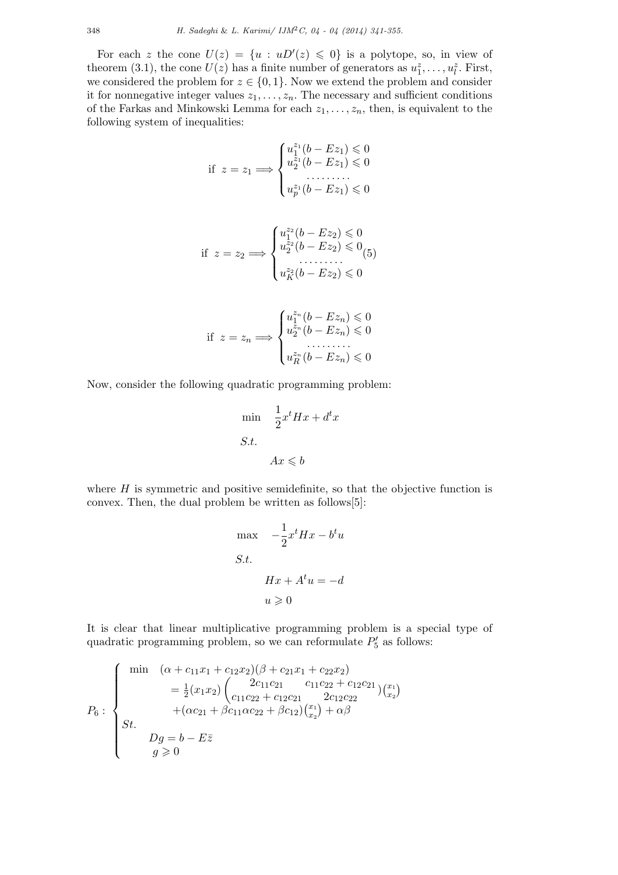For each *z* the cone  $U(z) = \{u : uD'(z) \leq 0\}$  is a polytope, so, in view of theorem (3.1), the cone  $U(z)$  has a finite number of generators as  $u_1^z, \ldots, u_l^z$ . First, we considered the problem for  $z \in \{0, 1\}$ . Now we extend the problem and consider it for nonnegative integer values  $z_1, \ldots, z_n$ . The necessary and sufficient conditions of the Farkas and Minkowski Lemma for each  $z_1, \ldots, z_n$ , then, is equivalent to the following system of inequalities:

if 
$$
z = z_1 \Longrightarrow
$$
\n
$$
\begin{cases}\nu_1^{z_1}(b - Ez_1) \leq 0 \\
u_2^{z_1}(b - Ez_1) \leq 0 \\
\dots \\
u_p^{z_1}(b - Ez_1) \leq 0\n\end{cases}
$$

if 
$$
z = z_2 \Longrightarrow
$$
\n
$$
\begin{cases}\nu_1^{z_2}(b - Ez_2) \leq 0 \\
u_2^{z_2}(b - Ez_2) \leq 0 \\
\dots \\
u_K^{z_2}(b - Ez_2) \leq 0\n\end{cases}
$$

if 
$$
z = z_n \Longrightarrow
$$
\n
$$
\begin{cases}\nu_1^{z_n}(b - Ez_n) \leq 0 \\
u_2^{z_n}(b - Ez_n) \leq 0 \\
\dots \\
u_R^{z_n}(b - Ez_n) \leq 0\n\end{cases}
$$

Now, consider the following quadratic programming problem:

$$
\min \quad \frac{1}{2}x^t Hx + d^t x
$$
  

$$
S.t. \quad Ax \leq b
$$

where *H* is symmetric and positive semidefinite, so that the objective function is convex. Then, the dual problem be written as follows[5]:

$$
\max \quad -\frac{1}{2}x^t Hx - b^t u
$$
  

$$
S.t.
$$
  

$$
Hx + A^t u = -d
$$
  

$$
u \ge 0
$$

It is clear that linear multiplicative programming problem is a special type of quadratic programming problem, so we can reformulate  $P'_{5}$  as follows:

$$
P_6: \begin{cases} \min \quad (\alpha + c_{11}x_1 + c_{12}x_2)(\beta + c_{21}x_1 + c_{22}x_2) \\ \n&= \frac{1}{2}(x_1x_2) \begin{pmatrix} 2c_{11}c_{21} & c_{11}c_{22} + c_{12}c_{21} \\ c_{11}c_{22} + c_{12}c_{21} & 2c_{12}c_{22} \\ \n&+ (\alpha c_{21} + \beta c_{11} \alpha c_{22} + \beta c_{12}) \binom{x_1}{x_2} + \alpha \beta \end{pmatrix} \\ \nSt. \\ \nDg = b - E\overline{z} \\ \ng \geq 0 \end{cases}
$$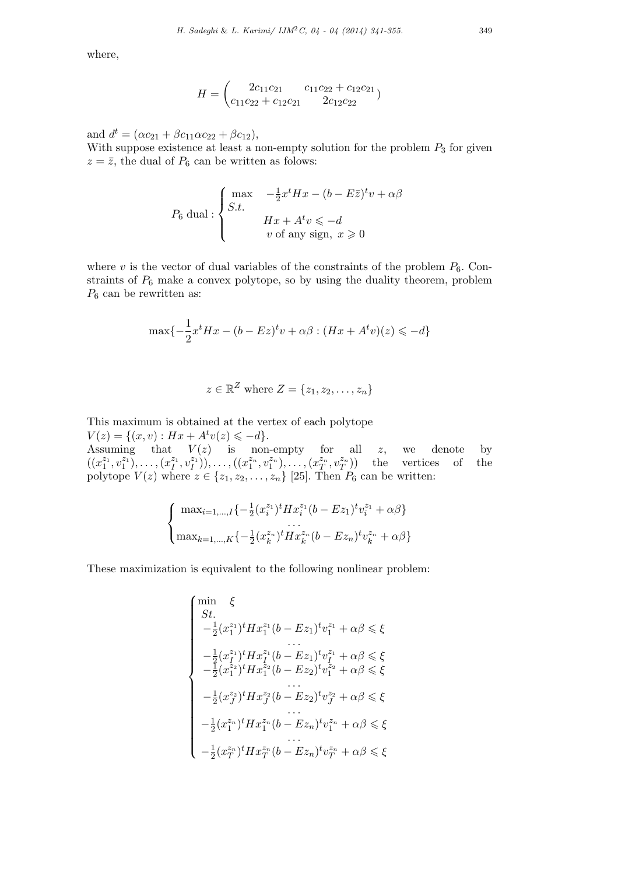where,

$$
H = \begin{pmatrix} 2c_{11}c_{21} & c_{11}c_{22} + c_{12}c_{21} \\ c_{11}c_{22} + c_{12}c_{21} & 2c_{12}c_{22} \end{pmatrix}
$$

and  $d^t = (\alpha c_{21} + \beta c_{11} \alpha c_{22} + \beta c_{12}),$ 

With suppose existence at least a non-empty solution for the problem  $P_3$  for given  $z = \overline{z}$ , the dual of  $P_6$  can be written as folows:

$$
P_6 \text{ dual}: \begin{cases} \max & -\frac{1}{2}x^t H x - (b - E\overline{z})^t v + \alpha \beta \\ S.t. & Hx + A^t v \leqslant -d \\ v \text{ of any sign, } x \geqslant 0 \end{cases}
$$

where *v* is the vector of dual variables of the constraints of the problem  $P_6$ . Constraints of *P*<sup>6</sup> make a convex polytope, so by using the duality theorem, problem  $P_6$  can be rewritten as:

$$
\max\{-\frac{1}{2}x^tHx - (b - Ez)^tv + \alpha\beta : (Hx + A^tv)(z) \leq -d\}
$$

$$
z \in \mathbb{R}^Z \text{ where } Z = \{z_1, z_2, \dots, z_n\}
$$

This maximum is obtained at the vertex of each polytope  $V(z) = \{(x, v) : Hx + A^t v(z) \leq -d\}.$ 

Assuming that  $V(z)$  is non-empty for all  $z$ , we denote by  $((x_1^{z_1}, v_1^{z_1}), \ldots, (x_l^{z_1}, v_l^{z_1})), \ldots, ((x_1^{z_n}, v_1^{z_n}), \ldots, (x_T^{z_n}, v_T^{z_n}))$  the vertices of the polytope  $V(z)$  where  $z \in \{z_1, z_2, \ldots, z_n\}$  [25]. Then  $P_6$  can be written:

$$
\begin{cases} \max_{i=1,\dots,I} \{-\frac{1}{2} (x_i^{z_1})^t H x_i^{z_1} (b - E z_1)^t v_i^{z_1} + \alpha \beta \} \\ \dots \\ \max_{k=1,\dots,K} \{-\frac{1}{2} (x_k^{z_n})^t H x_k^{z_n} (b - E z_n)^t v_k^{z_n} + \alpha \beta \} \end{cases}
$$

These maximization is equivalent to the following nonlinear problem:

$$
\begin{cases}\n\min \quad \xi \\
St. \\
-\frac{1}{2}(x_1^{z_1})^t H x_1^{z_1} (b - E z_1)^t v_1^{z_1} + \alpha \beta \leq \xi \\
& \dots \\
-\frac{1}{2} (x_1^{z_1})^t H x_1^{z_1} (b - E z_1)^t v_I^{z_1} + \alpha \beta \leq \xi \\
-\frac{1}{2} (x_1^{z_2})^t H x_1^{z_2} (b - E z_2)^t v_1^{z_2} + \alpha \beta \leq \xi \\
& \dots \\
-\frac{1}{2} (x_J^{z_2})^t H x_J^{z_2} (b - E z_2)^t v_J^{z_2} + \alpha \beta \leq \xi \\
& \dots \\
-\frac{1}{2} (x_1^{z_n})^t H x_1^{z_n} (b - E z_n)^t v_1^{z_n} + \alpha \beta \leq \xi \\
& \dots \\
-\frac{1}{2} (x_T^{z_n})^t H x_T^{z_n} (b - E z_n)^t v_T^{z_n} + \alpha \beta \leq \xi\n\end{cases}
$$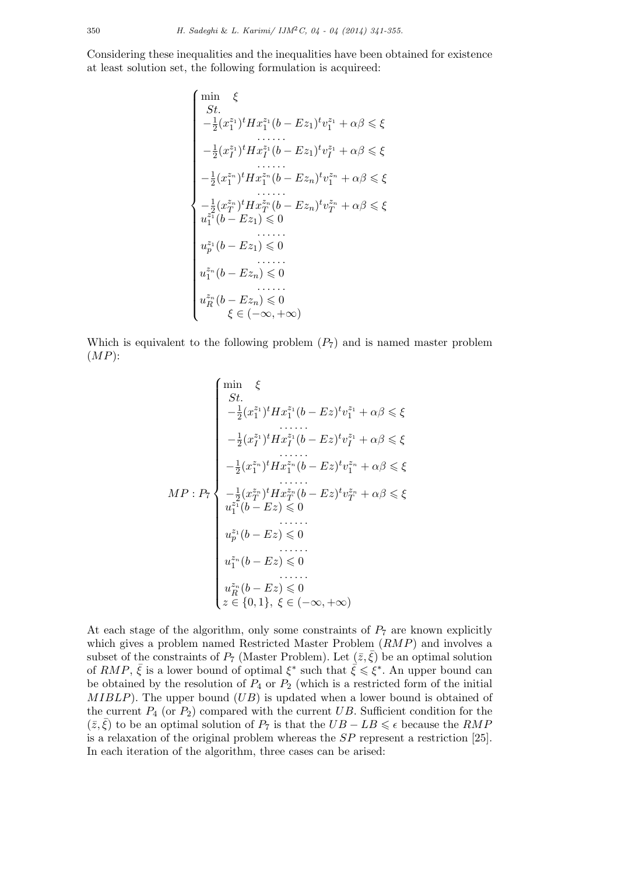Considering these inequalities and the inequalities have been obtained for existence at least solution set, the following formulation is acquireed:

$$
\begin{cases}\n\min \quad \xi \\
St. \\
-\frac{1}{2}(x_1^{z_1})^t H x_1^{z_1} (b - E z_1)^t v_1^{z_1} + \alpha \beta \leq \xi \\
& \dots \dots \\
-\frac{1}{2}(x_I^{z_1})^t H x_I^{z_1} (b - E z_1)^t v_I^{z_1} + \alpha \beta \leq \xi \\
& \dots \dots \\
-\frac{1}{2}(x_1^{z_n})^t H x_1^{z_n} (b - E z_n)^t v_1^{z_n} + \alpha \beta \leq \xi \\
& \dots \dots \\
-\frac{1}{2}(x_T^{z_n})^t H x_T^{z_n} (b - E z_n)^t v_T^{z_n} + \alpha \beta \leq \xi \\
u_1^{z_1} (b - E z_1) \leq 0 \\
& \dots \dots \\
u_1^{z_1} (b - E z_n) \leq 0 \\
& \dots \dots \\
u_R^{z_n} (b - E z_n) \leq 0 \\
& \dots \dots \\
u_R^{z_n} (b - E z_n) \leq 0 \\
& \xi \in (-\infty, +\infty)\n\end{cases}
$$

Which is equivalent to the following problem  $(P_7)$  and is named master problem (*MP*):

$$
MP : P_{7} \begin{cases} \min \xi \\ St. \\ -\frac{1}{2}(x_{1}^{z_{1}})^{t}Hx_{1}^{z_{1}}(b - Ez)^{t}v_{1}^{z_{1}} + \alpha\beta \leq \xi \\ \cdots \\ -\frac{1}{2}(x_{1}^{z_{1}})^{t}Hx_{1}^{z_{1}}(b - Ez)^{t}v_{1}^{z_{1}} + \alpha\beta \leq \xi \\ \cdots \\ -\frac{1}{2}(x_{1}^{z_{n}})^{t}Hx_{1}^{z_{n}}(b - Ez)^{t}v_{1}^{z_{n}} + \alpha\beta \leq \xi \\ \cdots \\ \cdots \\ \cdots \\ \frac{1}{2}(x_{1}^{z_{n}})^{t}Hx_{1}^{z_{n}}(b - Ez)^{t}v_{1}^{z_{n}} + \alpha\beta \leq \xi \\ \cdots \\ u_{1}^{z_{1}}(b - Ez) \leq 0 \\ \cdots \\ u_{n}^{z_{n}}(b - Ez) \leq 0 \\ \cdots \\ u_{n}^{z_{n}}(b - Ez) \leq 0 \\ \cdots \\ z \in \{0, 1\}, \xi \in (-\infty, +\infty) \end{cases}
$$

At each stage of the algorithm, only some constraints of  $P<sub>7</sub>$  are known explicitly which gives a problem named Restricted Master Problem (*RMP*) and involves a subset of the constraints of  $P_7$  (Master Problem). Let  $(\bar{z}, \bar{\xi})$  be an optimal solution of  $RMP, \bar{\xi}$  is a lower bound of optimal  $\xi^*$  such that  $\bar{\xi} \leq \xi^*$ . An upper bound can be obtained by the resolution of  $P_4$  or  $P_2$  (which is a restricted form of the initial *MIBLP*). The upper bound (*UB*) is updated when a lower bound is obtained of the current  $P_4$  (or  $P_2$ ) compared with the current *UB*. Sufficient condition for the  $(\bar{z}, \bar{\xi})$  to be an optimal solution of  $P_7$  is that the  $UB - LB \leq \epsilon$  because the  $RMP$ is a relaxation of the original problem whereas the *SP* represent a restriction [25]. In each iteration of the algorithm, three cases can be arised: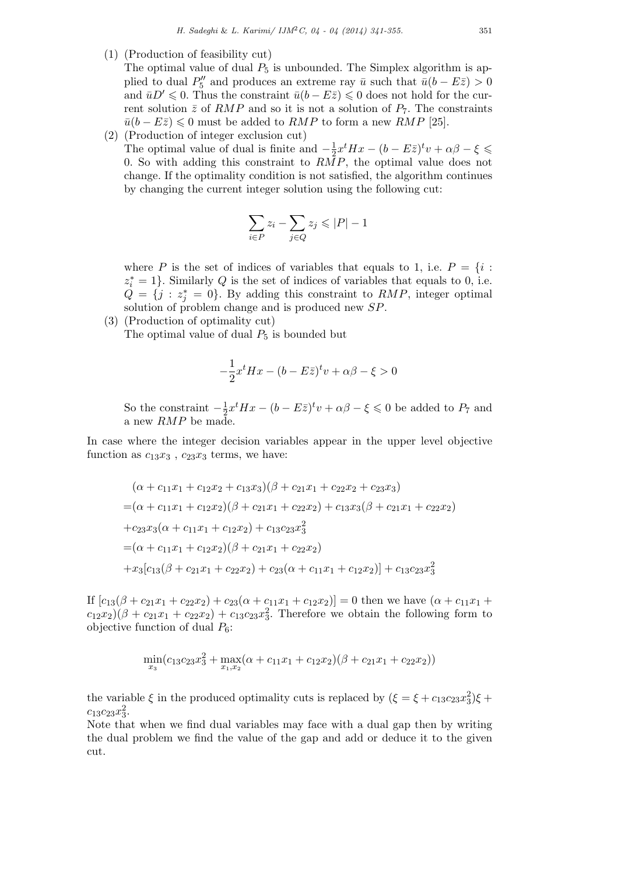(1) (Production of feasibility cut)

The optimal value of dual  $P_5$  is unbounded. The Simplex algorithm is applied to dual  $P_5''$  and produces an extreme ray  $\bar{u}$  such that  $\bar{u}(b - E\bar{z}) > 0$ and  $\bar{u}D' \leq 0$ . Thus the constraint  $\bar{u}(b - E\bar{z}) \leq 0$  does not hold for the current solution  $\bar{z}$  of *RMP* and so it is not a solution of  $P_7$ . The constraints  $\bar{u}(b - E\bar{z}) \leq 0$  must be added to *RMP* to form a new *RMP* [25].

(2) (Production of integer exclusion cut) The optimal value of dual is finite and  $-\frac{1}{2}$  $\frac{1}{2}x^t Hx - (b - E\overline{z})^t v + \alpha\beta - \xi \leq$ 0. So with adding this constraint to *RMP*, the optimal value does not change. If the optimality condition is not satisfied, the algorithm continues by changing the current integer solution using the following cut:

$$
\sum_{i \in P} z_i - \sum_{j \in Q} z_j \leqslant |P| - 1
$$

where P is the set of indices of variables that equals to 1, i.e.  $P = \{i :$  $z_i^* = 1$ . Similarly *Q* is the set of indices of variables that equals to 0, i.e.  $Q = \{j : z_j^* = 0\}$ . By adding this constraint to *RMP*, integer optimal solution of problem change and is produced new *SP*.

(3) (Production of optimality cut)

The optimal value of dual *P*<sup>5</sup> is bounded but

$$
-\frac{1}{2}x^t Hx - (b - E\overline{z})^t v + \alpha\beta - \xi > 0
$$

So the constraint  $-\frac{1}{2}$  $\frac{1}{2}x^t Hx - (b - E\overline{z})^t v + \alpha\beta - \xi \leq 0$  be added to  $P_7$  and a new *RMP* be made.

In case where the integer decision variables appear in the upper level objective function as  $c_{13}x_3$ ,  $c_{23}x_3$  terms, we have:

$$
(\alpha + c_{11}x_1 + c_{12}x_2 + c_{13}x_3)(\beta + c_{21}x_1 + c_{22}x_2 + c_{23}x_3)
$$
  
=  $(\alpha + c_{11}x_1 + c_{12}x_2)(\beta + c_{21}x_1 + c_{22}x_2) + c_{13}x_3(\beta + c_{21}x_1 + c_{22}x_2)$   
+  $c_{23}x_3(\alpha + c_{11}x_1 + c_{12}x_2) + c_{13}c_{23}x_3^2$   
=  $(\alpha + c_{11}x_1 + c_{12}x_2)(\beta + c_{21}x_1 + c_{22}x_2)$   
+  $x_3[c_{13}(\beta + c_{21}x_1 + c_{22}x_2) + c_{23}(\alpha + c_{11}x_1 + c_{12}x_2)] + c_{13}c_{23}x_3^2$ 

If  $[c_{13}(\beta + c_{21}x_1 + c_{22}x_2) + c_{23}(\alpha + c_{11}x_1 + c_{12}x_2)] = 0$  then we have  $(\alpha + c_{11}x_1 + c_{12}x_2)$  $c_{12}x_2$ )( $\beta + c_{21}x_1 + c_{22}x_2$ ) +  $c_{13}c_{23}x_3^2$ . Therefore we obtain the following form to objective function of dual  $P_6$ :

$$
\min_{x_3}(c_{13}c_{23}x_3^2 + \max_{x_1,x_2}(\alpha + c_{11}x_1 + c_{12}x_2)(\beta + c_{21}x_1 + c_{22}x_2))
$$

the variable  $\xi$  in the produced optimality cuts is replaced by  $(\xi = \xi + c_{13}c_{23}x_3^2)\xi +$  $c_{13}c_{23}x_3^2$ .

Note that when we find dual variables may face with a dual gap then by writing the dual problem we find the value of the gap and add or deduce it to the given cut.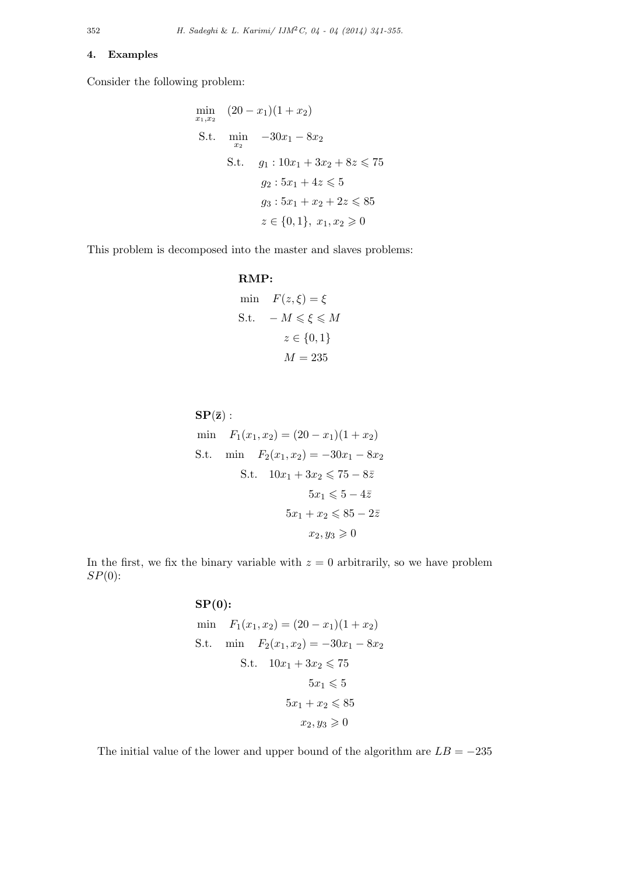### **4. Examples**

Consider the following problem:

$$
\min_{x_1, x_2} (20 - x_1)(1 + x_2)
$$
  
S.t. 
$$
\min_{x_2} -30x_1 - 8x_2
$$
  
S.t. 
$$
g_1 : 10x_1 + 3x_2 + 8z \le 75
$$
  

$$
g_2 : 5x_1 + 4z \le 5
$$
  

$$
g_3 : 5x_1 + x_2 + 2z \le 85
$$
  

$$
z \in \{0, 1\}, x_1, x_2 \ge 0
$$

This problem is decomposed into the master and slaves problems:

## **RMP:**

min 
$$
F(z, \xi) = \xi
$$
  
\nS.t.  $-M \le \xi \le M$   
\n $z \in \{0, 1\}$   
\n $M = 235$ 

$$
\mathbf{SP}(\bar{z}):
$$
  
min  $F_1(x_1, x_2) = (20 - x_1)(1 + x_2)$   
S.t. min  $F_2(x_1, x_2) = -30x_1 - 8x_2$   
S.t.  $10x_1 + 3x_2 \le 75 - 8\bar{z}$   
 $5x_1 \le 5 - 4\bar{z}$   
 $5x_1 + x_2 \le 85 - 2\bar{z}$   
 $x_2, y_3 \ge 0$ 

In the first, we fix the binary variable with  $z = 0$  arbitrarily, so we have problem *SP*(0):

# **SP(0):** min  $F_1(x_1, x_2) = (20 - x_1)(1 + x_2)$ S.t. min  $F_2(x_1, x_2) = -30x_1 - 8x_2$ S.t.  $10x_1 + 3x_2 \le 75$

$$
5x_1 \leqslant 5
$$

$$
5x_1 + x_2 \leqslant 85
$$

$$
x_2, y_3 \geqslant 0
$$

The initial value of the lower and upper bound of the algorithm are  $LB = -235$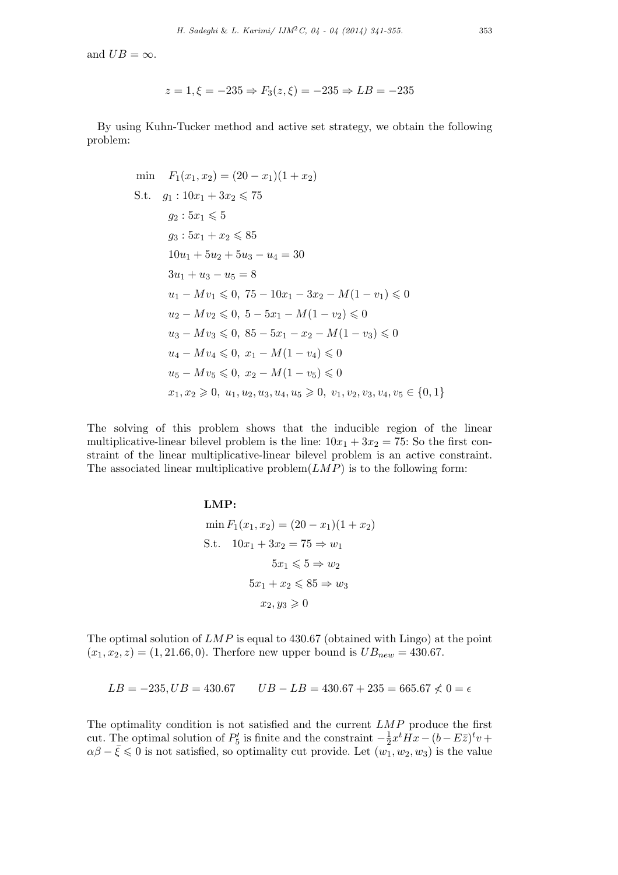and  $UB = \infty$ .

$$
z = 1, \xi = -235 \Rightarrow F_3(z, \xi) = -235 \Rightarrow LB = -235
$$

By using Kuhn-Tucker method and active set strategy, we obtain the following problem:

$$
\begin{aligned}\n\min \quad & F_1(x_1, x_2) = (20 - x_1)(1 + x_2) \\
\text{S.t.} \quad & g_1 : 10x_1 + 3x_2 \leqslant 75 \\
& g_2 : 5x_1 \leqslant 5 \\
& g_3 : 5x_1 + x_2 \leqslant 85 \\
& 10u_1 + 5u_2 + 5u_3 - u_4 = 30 \\
& 3u_1 + u_3 - u_5 = 8 \\
& u_1 - Mv_1 \leqslant 0, \ 75 - 10x_1 - 3x_2 - M(1 - v_1) \leqslant 0 \\
& u_2 - Mv_2 \leqslant 0, \ 5 - 5x_1 - M(1 - v_2) \leqslant 0 \\
& u_3 - Mv_3 \leqslant 0, \ 85 - 5x_1 - x_2 - M(1 - v_3) \leqslant 0 \\
& u_4 - Mv_4 \leqslant 0, \ x_1 - M(1 - v_4) \leqslant 0 \\
& u_5 - Mv_5 \leqslant 0, \ x_2 - M(1 - v_5) \leqslant 0 \\
& x_1, x_2 \geqslant 0, \ u_1, u_2, u_3, u_4, u_5 \geqslant 0, \ v_1, v_2, v_3, v_4, v_5 \in \{0, 1\}\n\end{aligned}
$$

The solving of this problem shows that the inducible region of the linear multiplicative-linear bilevel problem is the line:  $10x_1 + 3x_2 = 75$ : So the first constraint of the linear multiplicative-linear bilevel problem is an active constraint. The associated linear multiplicative problem(*LMP*) is to the following form:

### **LMP:**

$$
\min F_1(x_1, x_2) = (20 - x_1)(1 + x_2)
$$
  
S.t. 
$$
10x_1 + 3x_2 = 75 \Rightarrow w_1
$$

$$
5x_1 \leqslant 5 \Rightarrow w_2
$$

$$
5x_1 + x_2 \leqslant 85 \Rightarrow w_3
$$

$$
x_2, y_3 \geqslant 0
$$

The optimal solution of *LMP* is equal to 430*.*67 (obtained with Lingo) at the point  $(x_1, x_2, z) = (1, 21.66, 0)$ . Therfore new upper bound is  $UB_{new} = 430.67$ .

$$
LB = -235, UB = 430.67 \qquad UB - LB = 430.67 + 235 = 665.67 \nless 0 = \epsilon
$$

The optimality condition is not satisfied and the current *LMP* produce the first cut. The optimal solution of  $P'_{5}$  is finite and the constraint  $-\frac{1}{2}$  $\frac{1}{2}x^tHx-(b-E\bar{z})^tv+$  $\alpha\beta - \bar{\xi} \leq 0$  is not satisfied, so optimality cut provide. Let  $(w_1, w_2, w_3)$  is the value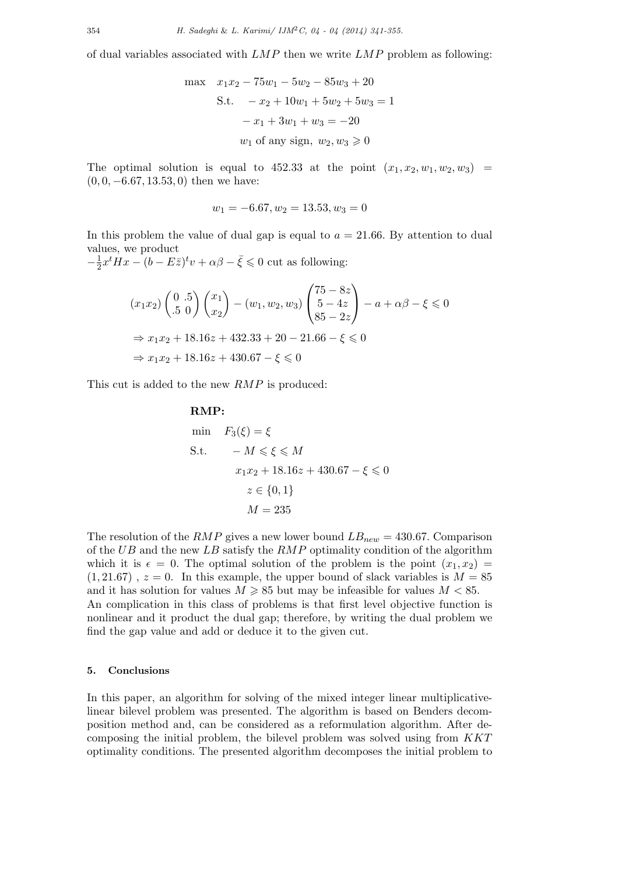of dual variables associated with *LMP* then we write *LMP* problem as following:

$$
\max \quad x_1 x_2 - 75w_1 - 5w_2 - 85w_3 + 20
$$
  
S.t. 
$$
-x_2 + 10w_1 + 5w_2 + 5w_3 = 1
$$

$$
-x_1 + 3w_1 + w_3 = -20
$$

$$
w_1 \text{ of any sign, } w_2, w_3 \ge 0
$$

The optimal solution is equal to 452.33 at the point  $(x_1, x_2, w_1, w_2, w_3)$ (0*,* 0*, −*6*.*67*,* 13*.*53*,* 0) then we have:

$$
w_1 = -6.67, w_2 = 13.53, w_3 = 0
$$

In this problem the value of dual gap is equal to  $a = 21.66$ . By attention to dual values, we product

*−* 1  $\frac{1}{2}x^t Hx - (b - E\overline{z})^t v + \alpha\beta - \overline{\xi} \leqslant 0$  cut as following:

$$
(x_1x_2)\begin{pmatrix} 0 & 0.5\\ 0 & 0 \end{pmatrix} \begin{pmatrix} x_1\\ x_2 \end{pmatrix} - (w_1, w_2, w_3) \begin{pmatrix} 75 - 8z\\ 5 - 4z\\ 85 - 2z \end{pmatrix} - a + \alpha\beta - \xi \le 0
$$
  
\n
$$
\Rightarrow x_1x_2 + 18.16z + 432.33 + 20 - 21.66 - \xi \le 0
$$
  
\n
$$
\Rightarrow x_1x_2 + 18.16z + 430.67 - \xi \le 0
$$

This cut is added to the new *RMP* is produced:

### **RMP:**

min 
$$
F_3(\xi) = \xi
$$
  
\nS.t.  $-M \le \xi \le M$   
\n $x_1x_2 + 18.16z + 430.67 - \xi \le 0$   
\n $z \in \{0, 1\}$   
\n $M = 235$ 

The resolution of the *RMP* gives a new lower bound  $LB_{new} = 430.67$ . Comparison of the *UB* and the new *LB* satisfy the *RMP* optimality condition of the algorithm which it is  $\epsilon = 0$ . The optimal solution of the problem is the point  $(x_1, x_2)$  $(1, 21.67)$ ,  $z = 0$ . In this example, the upper bound of slack variables is  $M = 85$ and it has solution for values  $M \ge 85$  but may be infeasible for values  $M < 85$ . An complication in this class of problems is that first level objective function is

nonlinear and it product the dual gap; therefore, by writing the dual problem we find the gap value and add or deduce it to the given cut.

### **5. Conclusions**

In this paper, an algorithm for solving of the mixed integer linear multiplicativelinear bilevel problem was presented. The algorithm is based on Benders decomposition method and, can be considered as a reformulation algorithm. After decomposing the initial problem, the bilevel problem was solved using from *KKT* optimality conditions. The presented algorithm decomposes the initial problem to